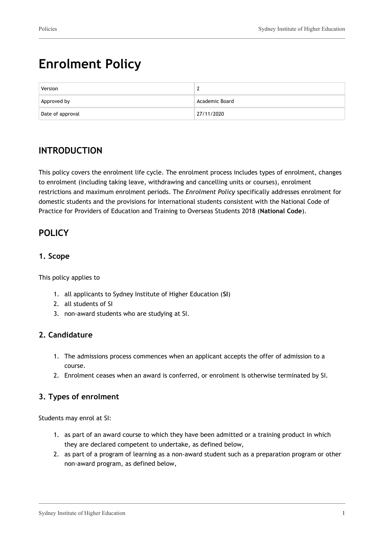# **Enrolment Policy**

| Version          |                |
|------------------|----------------|
| Approved by      | Academic Board |
| Date of approval | 27/11/2020     |

# **INTRODUCTION**

This policy covers the enrolment life cycle. The enrolment process includes types of enrolment, changes to enrolment (including taking leave, withdrawing and cancelling units or courses), enrolment restrictions and maximum enrolment periods. The *Enrolment Policy* specifically addresses enrolment for domestic students and the provisions for international students consistent with the National Code of Practice for Providers of Education and Training to Overseas Students 2018 (**National Code**).

# **POLICY**

# **1. Scope**

This policy applies to

- 1. all applicants to Sydney Institute of Higher Education (**SI**)
- 2. all students of SI
- 3. non-award students who are studying at SI.

# **2. Candidature**

- 1. The admissions process commences when an applicant accepts the offer of admission to a course.
- 2. Enrolment ceases when an award is conferred, or enrolment is otherwise terminated by SI.

# **3. Types of enrolment**

Students may enrol at SI:

- 1. as part of an award course to which they have been admitted or a training product in which they are declared competent to undertake, as defined below,
- 2. as part of a program of learning as a non-award student such as a preparation program or other non-award program, as defined below,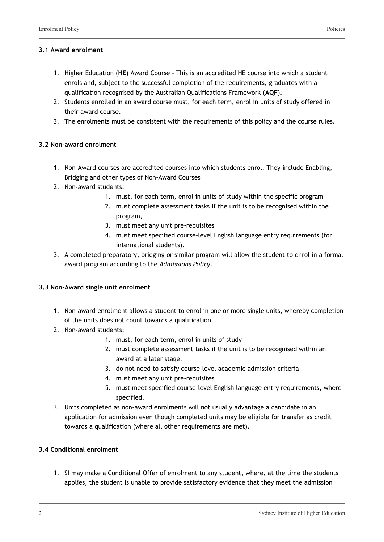#### **3.1 Award enrolment**

- 1. Higher Education (**HE**) Award Course This is an accredited HE course into which a student enrols and, subject to the successful completion of the requirements, graduates with a qualification recognised by the Australian Qualifications Framework (**AQF**).
- 2. Students enrolled in an award course must, for each term, enrol in units of study offered in their award course.
- 3. The enrolments must be consistent with the requirements of this policy and the course rules.

#### **3.2 Non-award enrolment**

- 1. Non-Award courses are accredited courses into which students enrol. They include Enabling, Bridging and other types of Non-Award Courses
- 2. Non-award students:
	- 1. must, for each term, enrol in units of study within the specific program
	- 2. must complete assessment tasks if the unit is to be recognised within the program,
	- 3. must meet any unit pre-requisites
	- 4. must meet specified course-level English language entry requirements (for international students).
- 3. A completed preparatory, bridging or similar program will allow the student to enrol in a formal award program according to the *Admissions Policy*.

#### **3.3 Non-Award single unit enrolment**

- 1. Non-award enrolment allows a student to enrol in one or more single units, whereby completion of the units does not count towards a qualification.
- 2. Non-award students:
	- 1. must, for each term, enrol in units of study
	- 2. must complete assessment tasks if the unit is to be recognised within an award at a later stage,
	- 3. do not need to satisfy course-level academic admission criteria
	- 4. must meet any unit pre-requisites
	- 5. must meet specified course-level English language entry requirements, where specified.
- 3. Units completed as non-award enrolments will not usually advantage a candidate in an application for admission even though completed units may be eligible for transfer as credit towards a qualification (where all other requirements are met).

#### **3.4 Conditional enrolment**

1. SI may make a Conditional Offer of enrolment to any student, where, at the time the students applies, the student is unable to provide satisfactory evidence that they meet the admission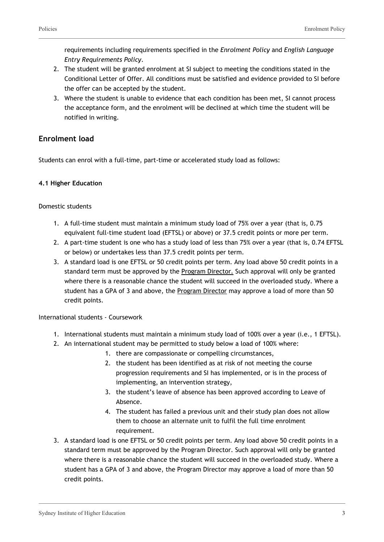requirements including requirements specified in the *Enrolment Policy* and *English Language Entry Requirements Policy*.

- 2. The student will be granted enrolment at SI subject to meeting the conditions stated in the Conditional Letter of Offer. All conditions must be satisfied and evidence provided to SI before the offer can be accepted by the student.
- 3. Where the student is unable to evidence that each condition has been met, SI cannot process the acceptance form, and the enrolment will be declined at which time the student will be notified in writing.

# **Enrolment load**

Students can enrol with a full-time, part-time or accelerated study load as follows:

#### **4.1 Higher Education**

Domestic students

- 1. A full-time student must maintain a minimum study load of 75% over a year (that is, 0.75 equivalent full-time student load (EFTSL) or above) or 37.5 credit points or more per term.
- 2. A part-time student is one who has a study load of less than 75% over a year (that is, 0.74 EFTSL or below) or undertakes less than 37.5 credit points per term.
- 3. A standard load is one EFTSL or 50 credit points per term. Any load above 50 credit points in a standard term must be approved by the Program Director. Such approval will only be granted where there is a reasonable chance the student will succeed in the overloaded study. Where a student has a GPA of 3 and above, the Program Director may approve a load of more than 50 credit points.

International students - Coursework

- 1. International students must maintain a minimum study load of 100% over a year (i.e., 1 EFTSL).
- 2. An international student may be permitted to study below a load of 100% where:
	- 1. there are compassionate or compelling circumstances,
	- 2. the student has been identified as at risk of not meeting the course progression requirements and SI has implemented, or is in the process of implementing, an intervention strategy,
	- 3. the student's leave of absence has been approved according to Leave of Absence.
	- 4. The student has failed a previous unit and their study plan does not allow them to choose an alternate unit to fulfil the full time enrolment requirement.
- 3. A standard load is one EFTSL or 50 credit points per term. Any load above 50 credit points in a standard term must be approved by the Program Director. Such approval will only be granted where there is a reasonable chance the student will succeed in the overloaded study. Where a student has a GPA of 3 and above, the Program Director may approve a load of more than 50 credit points.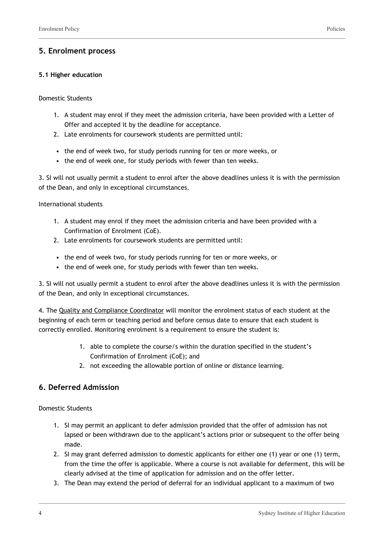# **5. Enrolment process**

#### **5.1 Higher education**

#### Domestic Students

- 1. A student may enrol if they meet the admission criteria, have been provided with a Letter of Offer and accepted it by the deadline for acceptance.
- 2. Late enrolments for coursework students are permitted until:
- the end of week two, for study periods running for ten or more weeks, or
- the end of week one, for study periods with fewer than ten weeks.

3. SI will not usually permit a student to enrol after the above deadlines unless it is with the permission of the Dean, and only in exceptional circumstances.

International students

- 1. A student may enrol if they meet the admission criteria and have been provided with a Confirmation of Enrolment (CoE).
- 2. Late enrolments for coursework students are permitted until:
- the end of week two, for study periods running for ten or more weeks, or
- the end of week one, for study periods with fewer than ten weeks.

3. SI will not usually permit a student to enrol after the above deadlines unless it is with the permission of the Dean, and only in exceptional circumstances.

4. The Quality and Compliance Coordinator will monitor the enrolment status of each student at the beginning of each term or teaching period and before census date to ensure that each student is correctly enrolled. Monitoring enrolment is a requirement to ensure the student is:

- 1. able to complete the course/s within the duration specified in the student's Confirmation of Enrolment (CoE); and
- 2. not exceeding the allowable portion of online or distance learning.

# **6. Deferred Admission**

Domestic Students

- 1. SI may permit an applicant to defer admission provided that the offer of admission has not lapsed or been withdrawn due to the applicant's actions prior or subsequent to the offer being made.
- 2. SI may grant deferred admission to domestic applicants for either one (1) year or one (1) term, from the time the offer is applicable. Where a course is not available for deferment, this will be clearly advised at the time of application for admission and on the offer letter.
- 3. The Dean may extend the period of deferral for an individual applicant to a maximum of two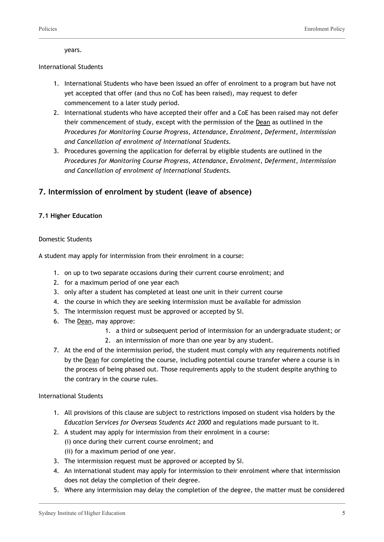years.

#### International Students

- 1. International Students who have been issued an offer of enrolment to a program but have not yet accepted that offer (and thus no CoE has been raised), may request to defer commencement to a later study period.
- 2. International students who have accepted their offer and a CoE has been raised may not defer their commencement of study, except with the permission of the Dean as outlined in the *Procedures for Monitoring Course Progress, Attendance, Enrolment, Deferment, Intermission and Cancellation of enrolment of International Students.*
- 3. Procedures governing the application for deferral by eligible students are outlined in the *Procedures for Monitoring Course Progress, Attendance, Enrolment, Deferment, Intermission and Cancellation of enrolment of International Students.*

# **7. Intermission of enrolment by student (leave of absence)**

#### **7.1 Higher Education**

#### Domestic Students

A student may apply for intermission from their enrolment in a course:

- 1. on up to two separate occasions during their current course enrolment; and
- 2. for a maximum period of one year each
- 3. only after a student has completed at least one unit in their current course
- 4. the course in which they are seeking intermission must be available for admission
- 5. The intermission request must be approved or accepted by SI.
- 6. The Dean, may approve:
	- 1. a third or subsequent period of intermission for an undergraduate student; or
	- 2. an intermission of more than one year by any student.
- 7. At the end of the intermission period, the student must comply with any requirements notified by the Dean for completing the course, including potential course transfer where a course is in the process of being phased out. Those requirements apply to the student despite anything to the contrary in the course rules.

International Students

- 1. All provisions of this clause are subject to restrictions imposed on student visa holders by the *Education Services for Overseas Students Act 2000* and regulations made pursuant to it.
- 2. A student may apply for intermission from their enrolment in a course: (i) once during their current course enrolment; and (ii) for a maximum period of one year.
- 3. The intermission request must be approved or accepted by SI.
- 4. An international student may apply for intermission to their enrolment where that intermission does not delay the completion of their degree.
- 5. Where any intermission may delay the completion of the degree, the matter must be considered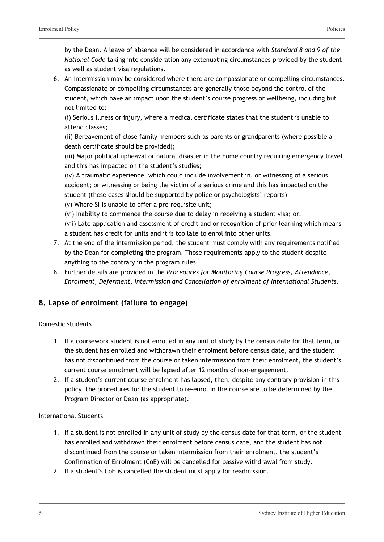by the Dean. A leave of absence will be considered in accordance with *Standard 8 and 9 of the National Code* taking into consideration any extenuating circumstances provided by the student as well as student visa regulations.

6. An intermission may be considered where there are compassionate or compelling circumstances. Compassionate or compelling circumstances are generally those beyond the control of the student, which have an impact upon the student's course progress or wellbeing, including but not limited to:

(i) Serious illness or injury, where a medical certificate states that the student is unable to attend classes;

(ii) Bereavement of close family members such as parents or grandparents (where possible a death certificate should be provided);

(iii) Major political upheaval or natural disaster in the home country requiring emergency travel and this has impacted on the student's studies;

(iv) A traumatic experience, which could include involvement in, or witnessing of a serious accident; or witnessing or being the victim of a serious crime and this has impacted on the student (these cases should be supported by police or psychologists' reports)

(v) Where SI is unable to offer a pre-requisite unit;

- (vi) Inability to commence the course due to delay in receiving a student visa; or,
- (vii) Late application and assessment of credit and or recognition of prior learning which means a student has credit for units and it is too late to enrol into other units.
- 7. At the end of the intermission period, the student must comply with any requirements notified by the Dean for completing the program. Those requirements apply to the student despite anything to the contrary in the program rules
- 8. Further details are provided in the *Procedures for Monitoring Course Progress, Attendance, Enrolment, Deferment, Intermission and Cancellation of enrolment of International Students.*

# **8. Lapse of enrolment (failure to engage)**

#### Domestic students

- 1. If a coursework student is not enrolled in any unit of study by the census date for that term, or the student has enrolled and withdrawn their enrolment before census date, and the student has not discontinued from the course or taken intermission from their enrolment, the student's current course enrolment will be lapsed after 12 months of non-engagement.
- 2. If a student's current course enrolment has lapsed, then, despite any contrary provision in this policy, the procedures for the student to re-enrol in the course are to be determined by the Program Director or Dean (as appropriate).

#### International Students

- 1. If a student is not enrolled in any unit of study by the census date for that term, or the student has enrolled and withdrawn their enrolment before census date, and the student has not discontinued from the course or taken intermission from their enrolment, the student's Confirmation of Enrolment (CoE) will be cancelled for passive withdrawal from study.
- 2. If a student's CoE is cancelled the student must apply for readmission.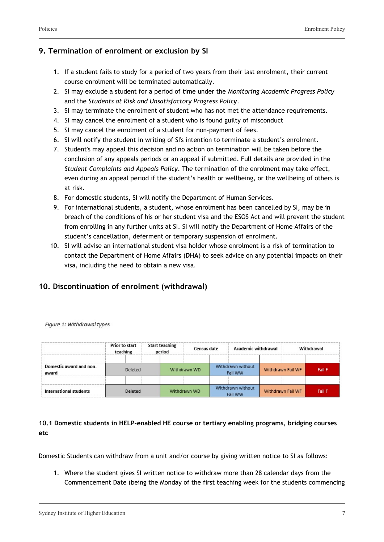# **9. Termination of enrolment or exclusion by SI**

- 1. If a student fails to study for a period of two years from their last enrolment, their current course enrolment will be terminated automatically.
- 2. SI may exclude a student for a period of time under the *Monitoring Academic Progress Policy* and the *Students at Risk and Unsatisfactory Progress Policy*.
- 3. SI may terminate the enrolment of student who has not met the attendance requirements.
- 4. SI may cancel the enrolment of a student who is found guilty of misconduct
- 5. SI may cancel the enrolment of a student for non-payment of fees.
- 6. SI will notify the student in writing of SI's intention to terminate a student's enrolment.
- 7. Student's may appeal this decision and no action on termination will be taken before the conclusion of any appeals periods or an appeal if submitted. Full details are provided in the *Student Complaints and Appeals Policy*. The termination of the enrolment may take effect, even during an appeal period if the student's health or wellbeing, or the wellbeing of others is at risk.
- 8. For domestic students, SI will notify the Department of Human Services.
- 9. For international students, a student, whose enrolment has been cancelled by SI, may be in breach of the conditions of his or her student visa and the ESOS Act and will prevent the student from enrolling in any further units at SI. SI will notify the Department of Home Affairs of the student's cancellation, deferment or temporary suspension of enrolment.
- 10. SI will advise an international student visa holder whose enrolment is a risk of termination to contact the Department of Home Affairs (**DHA**) to seek advice on any potential impacts on their visa, including the need to obtain a new visa.

# **10. Discontinuation of enrolment (withdrawal)**

|                                  | <b>Prior to start</b><br>teaching | <b>Start teaching</b><br>period | Census date  |  | <b>Academic withdrawal</b>   |  |                   | Withdrawal    |
|----------------------------------|-----------------------------------|---------------------------------|--------------|--|------------------------------|--|-------------------|---------------|
| Domestic award and non-<br>award | Deleted                           |                                 | Withdrawn WD |  | Withdrawn without<br>Fail WW |  | Withdrawn Fail WF | <b>Fail F</b> |
|                                  |                                   |                                 |              |  |                              |  |                   |               |
| International students           | Deleted                           |                                 | Withdrawn WD |  | Withdrawn without<br>Fail WW |  | Withdrawn Fail WF | <b>Fail F</b> |

Figure 1: Withdrawal types

**10.1 Domestic students in HELP-enabled HE course or tertiary enabling programs, bridging courses etc**

Domestic Students can withdraw from a unit and/or course by giving written notice to SI as follows:

1. Where the student gives SI written notice to withdraw more than 28 calendar days from the Commencement Date (being the Monday of the first teaching week for the students commencing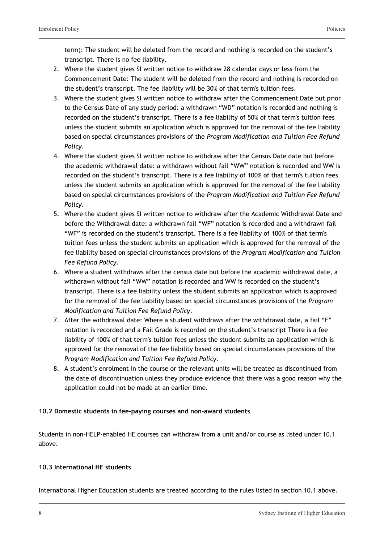term): The student will be deleted from the record and nothing is recorded on the student's transcript. There is no fee liability.

- 2. Where the student gives SI written notice to withdraw 28 calendar days or less from the Commencement Date: The student will be deleted from the record and nothing is recorded on the student's transcript. The fee liability will be 30% of that term's tuition fees.
- 3. Where the student gives SI written notice to withdraw after the Commencement Date but prior to the Census Date of any study period: a withdrawn "WD" notation is recorded and nothing is recorded on the student's transcript. There is a fee liability of 50% of that term's tuition fees unless the student submits an application which is approved for the removal of the fee liability based on special circumstances provisions of the *Program Modification and Tuition Fee Refund Policy*.
- 4. Where the student gives SI written notice to withdraw after the Census Date date but before the academic withdrawal date: a withdrawn without fail "WW" notation is recorded and WW is recorded on the student's transcript. There is a fee liability of 100% of that term's tuition fees unless the student submits an application which is approved for the removal of the fee liability based on special circumstances provisions of the *Program Modification and Tuition Fee Refund Policy*.
- 5. Where the student gives SI written notice to withdraw after the Academic Withdrawal Date and before the Withdrawal date: a withdrawn fail "WF" notation is recorded and a withdrawn fail "WF" is recorded on the student's transcript. There is a fee liability of 100% of that term's tuition fees unless the student submits an application which is approved for the removal of the fee liability based on special circumstances provisions of the *Program Modification and Tuition Fee Refund Policy*.
- 6. Where a student withdraws after the census date but before the academic withdrawal date, a withdrawn without fail "WW" notation is recorded and WW is recorded on the student's transcript. There is a fee liability unless the student submits an application which is approved for the removal of the fee liability based on special circumstances provisions of the *Program Modification and Tuition Fee Refund Policy*.
- 7. After the withdrawal date: Where a student withdraws after the withdrawal date, a fail "F" notation is recorded and a Fail Grade is recorded on the student's transcript There is a fee liability of 100% of that term's tuition fees unless the student submits an application which is approved for the removal of the fee liability based on special circumstances provisions of the *Program Modification and Tuition Fee Refund Policy.*
- 8. A student's enrolment in the course or the relevant units will be treated as discontinued from the date of discontinuation unless they produce evidence that there was a good reason why the application could not be made at an earlier time.

#### **10.2 Domestic students in fee-paying courses and non-award students**

Students in non-HELP-enabled HE courses can withdraw from a unit and/or course as listed under 10.1 above.

#### **10.3 International HE students**

International Higher Education students are treated according to the rules listed in section 10.1 above.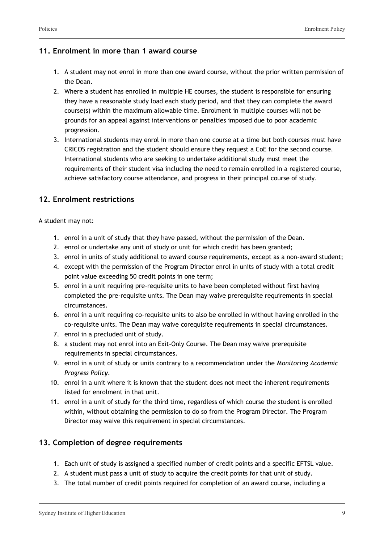# **11. Enrolment in more than 1 award course**

- 1. A student may not enrol in more than one award course, without the prior written permission of the Dean.
- 2. Where a student has enrolled in multiple HE courses, the student is responsible for ensuring they have a reasonable study load each study period, and that they can complete the award course(s) within the maximum allowable time. Enrolment in multiple courses will not be grounds for an appeal against interventions or penalties imposed due to poor academic progression.
- 3. International students may enrol in more than one course at a time but both courses must have CRICOS registration and the student should ensure they request a CoE for the second course. International students who are seeking to undertake additional study must meet the requirements of their student visa including the need to remain enrolled in a registered course, achieve satisfactory course attendance, and progress in their principal course of study.

# **12. Enrolment restrictions**

A student may not:

- 1. enrol in a unit of study that they have passed, without the permission of the Dean.
- 2. enrol or undertake any unit of study or unit for which credit has been granted;
- 3. enrol in units of study additional to award course requirements, except as a non-award student;
- 4. except with the permission of the Program Director enrol in units of study with a total credit point value exceeding 50 credit points in one term;
- 5. enrol in a unit requiring pre-requisite units to have been completed without first having completed the pre-requisite units. The Dean may waive prerequisite requirements in special circumstances.
- 6. enrol in a unit requiring co-requisite units to also be enrolled in without having enrolled in the co-requisite units. The Dean may waive corequisite requirements in special circumstances.
- 7. enrol in a precluded unit of study.
- 8. a student may not enrol into an Exit-Only Course. The Dean may waive prerequisite requirements in special circumstances.
- 9. enrol in a unit of study or units contrary to a recommendation under the *Monitoring Academic Progress Policy*.
- 10. enrol in a unit where it is known that the student does not meet the inherent requirements listed for enrolment in that unit.
- 11. enrol in a unit of study for the third time, regardless of which course the student is enrolled within, without obtaining the permission to do so from the Program Director. The Program Director may waive this requirement in special circumstances.

# **13. Completion of degree requirements**

- 1. Each unit of study is assigned a specified number of credit points and a specific EFTSL value.
- 2. A student must pass a unit of study to acquire the credit points for that unit of study.
- 3. The total number of credit points required for completion of an award course, including a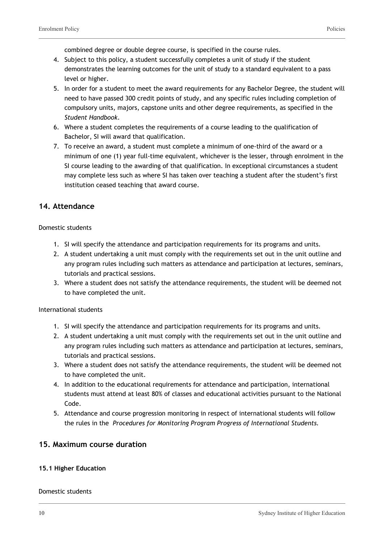combined degree or double degree course, is specified in the course rules.

- 4. Subject to this policy, a student successfully completes a unit of study if the student demonstrates the learning outcomes for the unit of study to a standard equivalent to a pass level or higher.
- 5. In order for a student to meet the award requirements for any Bachelor Degree, the student will need to have passed 300 credit points of study, and any specific rules including completion of compulsory units, majors, capstone units and other degree requirements, as specified in the *Student Handbook*.
- 6. Where a student completes the requirements of a course leading to the qualification of Bachelor, SI will award that qualification.
- 7. To receive an award, a student must complete a minimum of one-third of the award or a minimum of one (1) year full-time equivalent, whichever is the lesser, through enrolment in the SI course leading to the awarding of that qualification. In exceptional circumstances a student may complete less such as where SI has taken over teaching a student after the student's first institution ceased teaching that award course.

#### **14. Attendance**

#### Domestic students

- 1. SI will specify the attendance and participation requirements for its programs and units.
- 2. A student undertaking a unit must comply with the requirements set out in the unit outline and any program rules including such matters as attendance and participation at lectures, seminars, tutorials and practical sessions.
- 3. Where a student does not satisfy the attendance requirements, the student will be deemed not to have completed the unit.

#### International students

- 1. SI will specify the attendance and participation requirements for its programs and units.
- 2. A student undertaking a unit must comply with the requirements set out in the unit outline and any program rules including such matters as attendance and participation at lectures, seminars, tutorials and practical sessions.
- 3. Where a student does not satisfy the attendance requirements, the student will be deemed not to have completed the unit.
- 4. In addition to the educational requirements for attendance and participation, international students must attend at least 80% of classes and educational activities pursuant to the National Code.
- 5. Attendance and course progression monitoring in respect of international students will follow the rules in the *Procedures for Monitoring Program Progress of International Students.*

#### **15. Maximum course duration**

#### **15.1 Higher Education**

#### Domestic students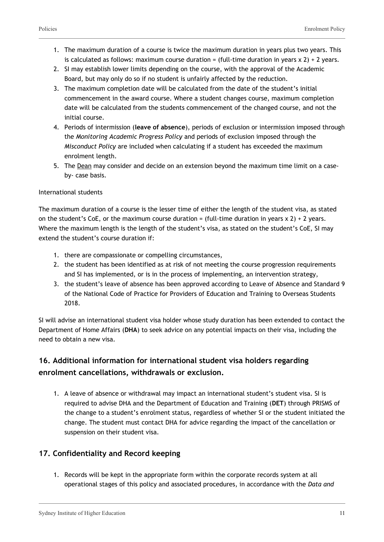- 1. The maximum duration of a course is twice the maximum duration in years plus two years. This is calculated as follows: maximum course duration = (full-time duration in years  $x$  2) + 2 years.
- 2. SI may establish lower limits depending on the course, with the approval of the Academic Board, but may only do so if no student is unfairly affected by the reduction.
- 3. The maximum completion date will be calculated from the date of the student's initial commencement in the award course. Where a student changes course, maximum completion date will be calculated from the students commencement of the changed course, and not the initial course.
- 4. Periods of intermission (**leave of absence**), periods of exclusion or intermission imposed through the *Monitoring Academic Progress Policy* and periods of exclusion imposed through the *Misconduct Policy* are included when calculating if a student has exceeded the maximum enrolment length.
- 5. The Dean may consider and decide on an extension beyond the maximum time limit on a caseby- case basis.

#### International students

The maximum duration of a course is the lesser time of either the length of the student visa, as stated on the student's CoE, or the maximum course duration = (full-time duration in years  $x$  2) + 2 years. Where the maximum length is the length of the student's visa, as stated on the student's CoE, SI may extend the student's course duration if:

- 1. there are compassionate or compelling circumstances,
- 2. the student has been identified as at risk of not meeting the course progression requirements and SI has implemented, or is in the process of implementing, an intervention strategy,
- 3. the student's leave of absence has been approved according to Leave of Absence and Standard 9 of the National Code of Practice for Providers of Education and Training to Overseas Students 2018.

SI will advise an international student visa holder whose study duration has been extended to contact the Department of Home Affairs (**DHA**) to seek advice on any potential impacts on their visa, including the need to obtain a new visa.

# **16. Additional information for international student visa holders regarding enrolment cancellations, withdrawals or exclusion.**

1. A leave of absence or withdrawal may impact an international student's student visa. SI is required to advise DHA and the Department of Education and Training (**DET**) through PRISMS of the change to a student's enrolment status, regardless of whether SI or the student initiated the change. The student must contact DHA for advice regarding the impact of the cancellation or suspension on their student visa.

# **17. Confidentiality and Record keeping**

1. Records will be kept in the appropriate form within the corporate records system at all operational stages of this policy and associated procedures, in accordance with the *Data and*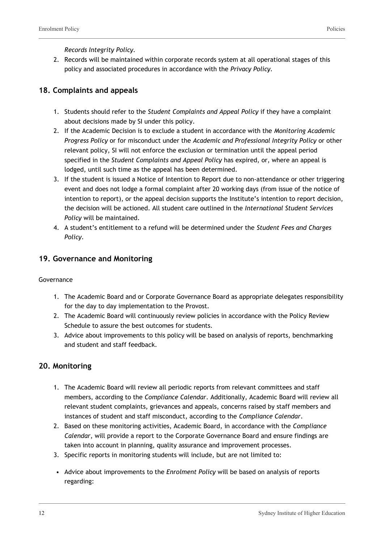*Records Integrity Policy.*

2. Records will be maintained within corporate records system at all operational stages of this policy and associated procedures in accordance with the *Privacy Policy.*

# **18. Complaints and appeals**

- 1. Students should refer to the *Student Complaints and Appeal Policy* if they have a complaint about decisions made by SI under this policy.
- 2. If the Academic Decision is to exclude a student in accordance with the *Monitoring Academic Progress Policy* or for misconduct under the *Academic and Professional Integrity Policy* or other relevant policy, SI will not enforce the exclusion or termination until the appeal period specified in the *Student Complaints and Appeal Policy* has expired, or, where an appeal is lodged, until such time as the appeal has been determined.
- 3. If the student is issued a Notice of Intention to Report due to non-attendance or other triggering event and does not lodge a formal complaint after 20 working days (from issue of the notice of intention to report), or the appeal decision supports the Institute's intention to report decision, the decision will be actioned. All student care outlined in the *International Student Services Policy* will be maintained.
- 4. A student's entitlement to a refund will be determined under the *Student Fees and Charges Policy.*

#### **19. Governance and Monitoring**

#### Governance

- 1. The Academic Board and or Corporate Governance Board as appropriate delegates responsibility for the day to day implementation to the Provost.
- 2. The Academic Board will continuously review policies in accordance with the Policy Review Schedule to assure the best outcomes for students.
- 3. Advice about improvements to this policy will be based on analysis of reports, benchmarking and student and staff feedback.

# **20. Monitoring**

- 1. The Academic Board will review all periodic reports from relevant committees and staff members, according to the *Compliance Calendar*. Additionally, Academic Board will review all relevant student complaints, grievances and appeals, concerns raised by staff members and instances of student and staff misconduct, according to the *Compliance Calendar*.
- 2. Based on these monitoring activities, Academic Board, in accordance with the *Compliance Calendar*, will provide a report to the Corporate Governance Board and ensure findings are taken into account in planning, quality assurance and improvement processes.
- 3. Specific reports in monitoring students will include, but are not limited to:
- Advice about improvements to the *Enrolment Policy* will be based on analysis of reports regarding: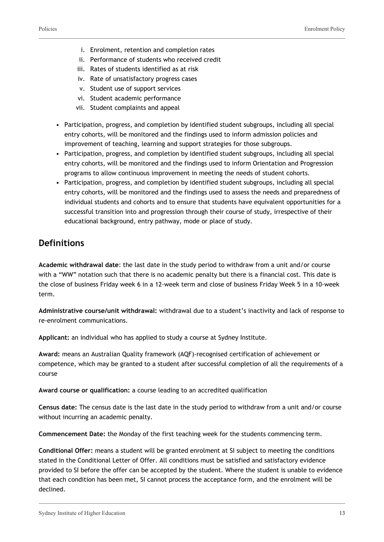- i. Enrolment, retention and completion rates
- ii. Performance of students who received credit
- iii. Rates of students identified as at risk
- iv. Rate of unsatisfactory progress cases
- v. Student use of support services
- vi. Student academic performance
- vii. Student complaints and appeal
- Participation, progress, and completion by identified student subgroups, including all special entry cohorts, will be monitored and the findings used to inform admission policies and improvement of teaching, learning and support strategies for those subgroups.
- Participation, progress, and completion by identified student subgroups, including all special entry cohorts, will be monitored and the findings used to inform Orientation and Progression programs to allow continuous improvement in meeting the needs of student cohorts.
- Participation, progress, and completion by identified student subgroups, including all special entry cohorts, will be monitored and the findings used to assess the needs and preparedness of individual students and cohorts and to ensure that students have equivalent opportunities for a successful transition into and progression through their course of study, irrespective of their educational background, entry pathway, mode or place of study.

# **Definitions**

**Academic withdrawal date**: the last date in the study period to withdraw from a unit and/or course with a "WW" notation such that there is no academic penalty but there is a financial cost. This date is the close of business Friday week 6 in a 12-week term and close of business Friday Week 5 in a 10-week term.

**Administrative course/unit withdrawal:** withdrawal due to a student's inactivity and lack of response to re-enrolment communications.

**Applicant:** an individual who has applied to study a course at Sydney Institute.

**Award:** means an Australian Quality framework (AQF)-recognised certification of achievement or competence, which may be granted to a student after successful completion of all the requirements of a course

**Award course or qualification:** a course leading to an accredited qualification

**Census date:** The census date is the last date in the study period to withdraw from a unit and/or course without incurring an academic penalty.

**Commencement Date:** the Monday of the first teaching week for the students commencing term.

**Conditional Offer:** means a student will be granted enrolment at SI subject to meeting the conditions stated in the Conditional Letter of Offer. All conditions must be satisfied and satisfactory evidence provided to SI before the offer can be accepted by the student. Where the student is unable to evidence that each condition has been met, SI cannot process the acceptance form, and the enrolment will be declined.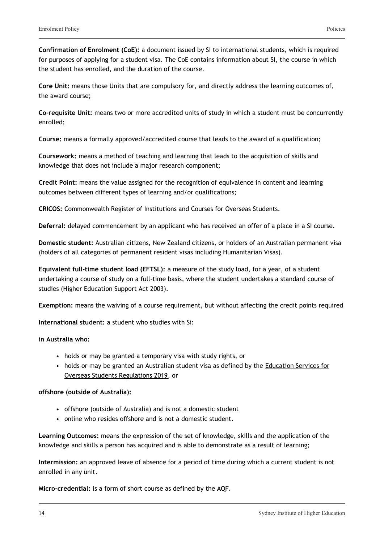**Core Unit:** means those Units that are compulsory for, and directly address the learning outcomes of, the award course;

**Co-requisite Unit:** means two or more accredited units of study in which a student must be concurrently enrolled;

**Course:** means a formally approved/accredited course that leads to the award of a qualification;

**Coursework:** means a method of teaching and learning that leads to the acquisition of skills and knowledge that does not include a major research component;

**Credit Point:** means the value assigned for the recognition of equivalence in content and learning outcomes between different types of learning and/or qualifications;

**CRICOS:** Commonwealth Register of Institutions and Courses for Overseas Students.

**Deferral:** delayed commencement by an applicant who has received an offer of a place in a SI course.

**Domestic student:** Australian citizens, New Zealand citizens, or holders of an Australian permanent visa (holders of all categories of permanent resident visas including Humanitarian Visas).

**Equivalent full-time student load (EFTSL):** a measure of the study load, for a year, of a student undertaking a course of study on a full-time basis, where the student undertakes a standard course of studies (Higher Education Support Act 2003).

**Exemption:** means the waiving of a course requirement, but without affecting the credit points required

**International student:** a student who studies with Si:

#### **in Australia who:**

- holds or may be granted a temporary visa with study rights, or
- holds or may be granted an Australian student visa as defined by the [Education Services for](https://www.legislation.gov.au/Details/F2019L00571) [Overseas Students Regulations 2019](https://www.legislation.gov.au/Details/F2019L00571), or

#### **offshore (outside of Australia):**

- offshore (outside of Australia) and is not a domestic student
- online who resides offshore and is not a domestic student.

**Learning Outcomes:** means the expression of the set of knowledge, skills and the application of the knowledge and skills a person has acquired and is able to demonstrate as a result of learning;

**Intermission:** an approved leave of absence for a period of time during which a current student is not enrolled in any unit.

**Micro-credential:** is a form of short course as defined by the AQF.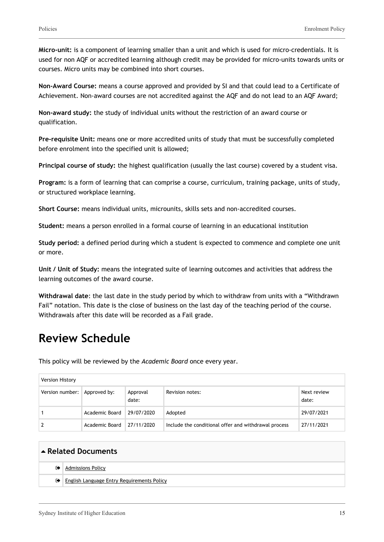**Micro-unit:** is a component of learning smaller than a unit and which is used for micro-credentials. It is used for non AQF or accredited learning although credit may be provided for micro-units towards units or courses. Micro units may be combined into short courses.

**Non-Award Course:** means a course approved and provided by SI and that could lead to a Certificate of Achievement. Non-award courses are not accredited against the AQF and do not lead to an AQF Award;

**Non-award study:** the study of individual units without the restriction of an award course or qualification.

**Pre-requisite Unit:** means one or more accredited units of study that must be successfully completed before enrolment into the specified unit is allowed;

**Principal course of study:** the highest qualification (usually the last course) covered by a student visa.

**Program:** is a form of learning that can comprise a course, curriculum, training package, units of study, or structured workplace learning.

**Short Course:** means individual units, microunits, skills sets and non-accredited courses.

**Student:** means a person enrolled in a formal course of learning in an educational institution

**Study period:** a defined period during which a student is expected to commence and complete one unit or more.

**Unit / Unit of Study:** means the integrated suite of learning outcomes and activities that address the learning outcomes of the award course.

**Withdrawal date**: the last date in the study period by which to withdraw from units with a "Withdrawn Fail" notation. This date is the close of business on the last day of the teaching period of the course. Withdrawals after this date will be recorded as a Fail grade.

# **Review Schedule**

This policy will be reviewed by the *Academic Board* once every year.

| Version History                |                                    |                   |                                                      |                      |
|--------------------------------|------------------------------------|-------------------|------------------------------------------------------|----------------------|
| Version number:   Approved by: |                                    | Approval<br>date: | Revision notes:                                      | Next review<br>date: |
|                                | Academic Board 29/07/2020          |                   | Adopted                                              | 29/07/2021           |
|                                | Academic Board $\sqrt{27/11/2020}$ |                   | Include the conditional offer and withdrawal process | 27/11/2021           |

| Related Documents |                                                   |  |  |
|-------------------|---------------------------------------------------|--|--|
| ☞                 | <b>Admissions Policy</b>                          |  |  |
|                   | <b>English Language Entry Requirements Policy</b> |  |  |